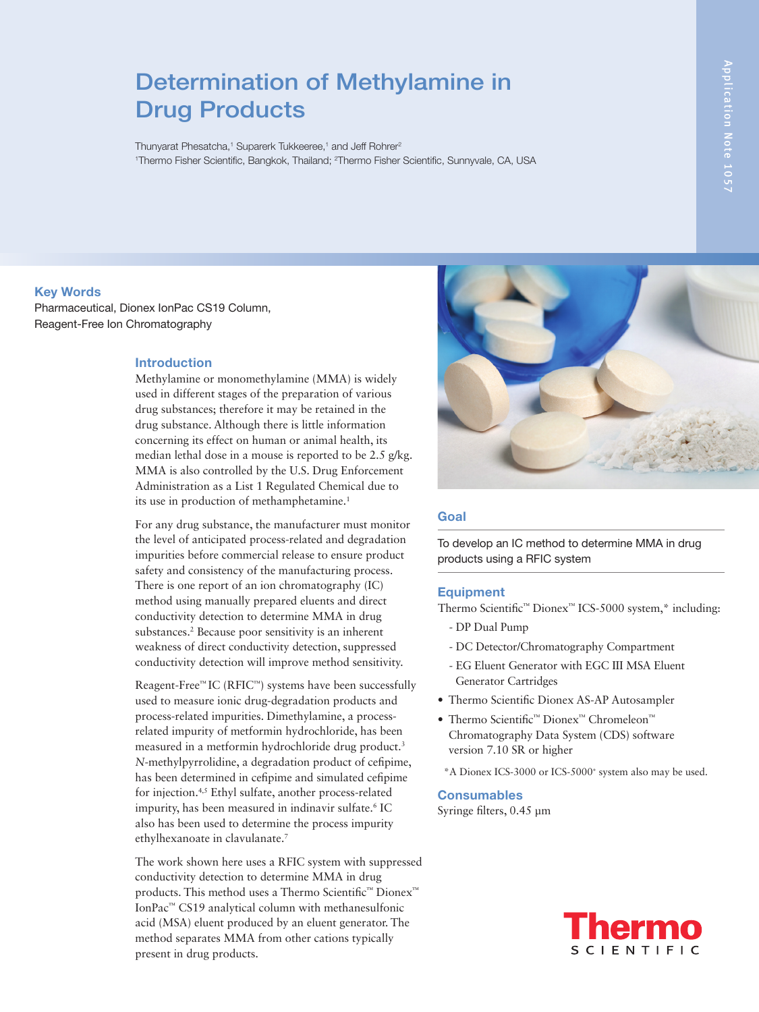# Determination of Methylamine in Drug Products

Thunyarat Phesatcha,<sup>1</sup> Suparerk Tukkeeree,<sup>1</sup> and Jeff Rohrer<sup>2</sup> 1 Thermo Fisher Scientific, Bangkok, Thailand; 2 Thermo Fisher Scientific, Sunnyvale, CA, USA

## Key Words

Pharmaceutical, Dionex IonPac CS19 Column, Reagent-Free Ion Chromatography

#### Introduction

Methylamine or monomethylamine (MMA) is widely used in different stages of the preparation of various drug substances; therefore it may be retained in the drug substance. Although there is little information concerning its effect on human or animal health, its median lethal dose in a mouse is reported to be 2.5 g/kg. MMA is also controlled by the U.S. Drug Enforcement Administration as a List 1 Regulated Chemical due to its use in production of methamphetamine.<sup>1</sup>

For any drug substance, the manufacturer must monitor the level of anticipated process-related and degradation impurities before commercial release to ensure product safety and consistency of the manufacturing process. There is one report of an ion chromatography (IC) method using manually prepared eluents and direct conductivity detection to determine MMA in drug substances.<sup>2</sup> Because poor sensitivity is an inherent weakness of direct conductivity detection, suppressed conductivity detection will improve method sensitivity.

Reagent-Free™ IC (RFIC™) systems have been successfully used to measure ionic drug-degradation products and process-related impurities. Dimethylamine, a processrelated impurity of metformin hydrochloride, has been measured in a metformin hydrochloride drug product.3 *N*-methylpyrrolidine, a degradation product of cefipime, has been determined in cefipime and simulated cefipime for injection.4,5 Ethyl sulfate, another process-related impurity, has been measured in indinavir sulfate.<sup>6</sup> IC also has been used to determine the process impurity ethylhexanoate in clavulanate.7

The work shown here uses a RFIC system with suppressed conductivity detection to determine MMA in drug products. This method uses a Thermo Scientific™ Dionex™ IonPac™ CS19 analytical column with methanesulfonic acid (MSA) eluent produced by an eluent generator. The method separates MMA from other cations typically present in drug products.



## Goal

To develop an IC method to determine MMA in drug products using a RFIC system

## **Equipment**

Thermo Scientific™ Dionex™ ICS-5000 system,\* including:

- DP Dual Pump
- DC Detector/Chromatography Compartment
- EG Eluent Generator with EGC III MSA Eluent Generator Cartridges
- Thermo Scientific Dionex AS-AP Autosampler
- Thermo Scientific™ Dionex™ Chromeleon™ Chromatography Data System (CDS) software version 7.10 SR or higher

\*A Dionex ICS-3000 or ICS-5000+ system also may be used.

## **Consumables**

Syringe filters, 0.45 µm

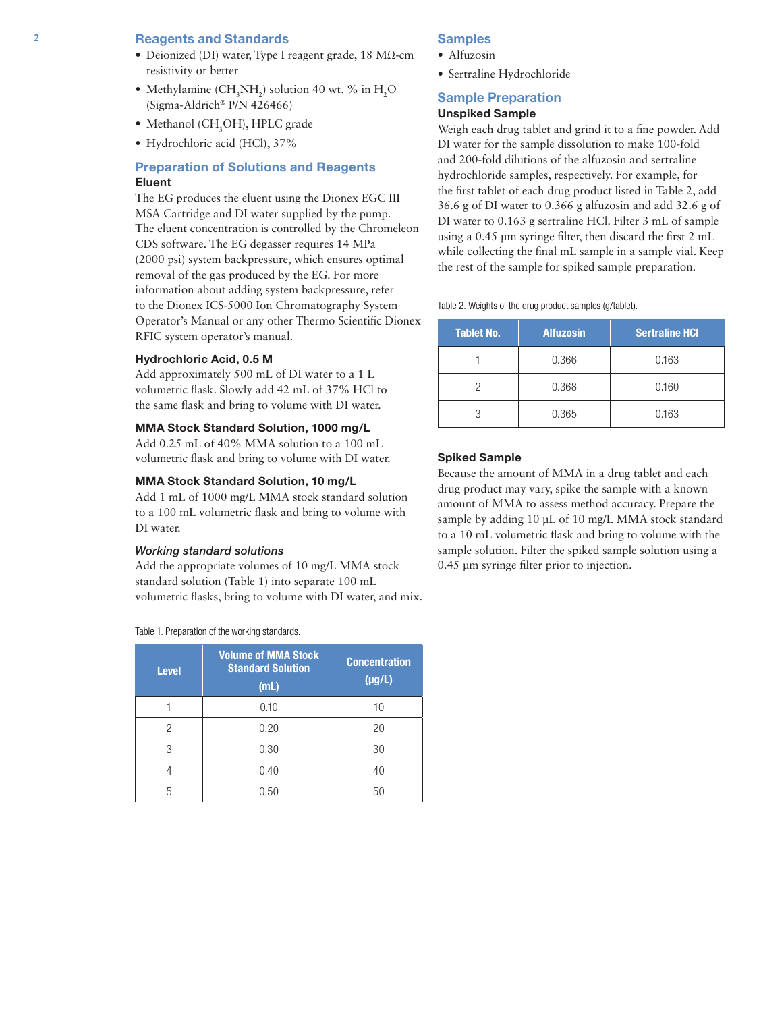## 2 Reagents and Standards

- Deionized (DI) water, Type I reagent grade, 18 MΩ-cm resistivity or better
- Methylamine  $(CH_3NH_2)$  solution 40 wt. % in  $H_2O$ (Sigma-Aldrich® P/N 426466)
- Methanol (CH<sub>3</sub>OH), HPLC grade
- Hydrochloric acid (HCl), 37%

## Preparation of Solutions and Reagents Eluent

The EG produces the eluent using the Dionex EGC III MSA Cartridge and DI water supplied by the pump. The eluent concentration is controlled by the Chromeleon CDS software. The EG degasser requires 14 MPa (2000 psi) system backpressure, which ensures optimal removal of the gas produced by the EG. For more information about adding system backpressure, refer to the Dionex ICS-5000 Ion Chromatography System Operator's Manual or any other Thermo Scientific Dionex RFIC system operator's manual.

#### Hydrochloric Acid, 0.5 M

Add approximately 500 mL of DI water to a 1 L volumetric flask. Slowly add 42 mL of 37% HCl to the same flask and bring to volume with DI water.

#### MMA Stock Standard Solution, 1000 mg/L

Add 0.25 mL of 40% MMA solution to a 100 mL volumetric flask and bring to volume with DI water.

#### MMA Stock Standard Solution, 10 mg/L

Add 1 mL of 1000 mg/L MMA stock standard solution to a 100 mL volumetric flask and bring to volume with DI water.

#### *Working standard solutions*

Add the appropriate volumes of 10 mg/L MMA stock standard solution (Table 1) into separate 100 mL volumetric flasks, bring to volume with DI water, and mix.

Table 1. Preparation of the working standards.

| <b>Level</b> | <b>Volume of MMA Stock</b><br><b>Standard Solution</b><br>(mL) | <b>Concentration</b><br>$(\mu g/L)$ |
|--------------|----------------------------------------------------------------|-------------------------------------|
|              | 0.10                                                           | 10                                  |
| 2            | 0.20                                                           | 20                                  |
| 3            | 0.30                                                           | 30                                  |
|              | 0.40                                                           | 40                                  |
| 5            | 0.50                                                           |                                     |

#### **Samples**

- Alfuzosin
- Sertraline Hydrochloride

## Sample Preparation

## Unspiked Sample

Weigh each drug tablet and grind it to a fine powder. Add DI water for the sample dissolution to make 100-fold and 200-fold dilutions of the alfuzosin and sertraline hydrochloride samples, respectively. For example, for the first tablet of each drug product listed in Table 2, add 36.6 g of DI water to 0.366 g alfuzosin and add 32.6 g of DI water to 0.163 g sertraline HCl. Filter 3 mL of sample using a 0.45 µm syringe filter, then discard the first 2 mL while collecting the final mL sample in a sample vial. Keep the rest of the sample for spiked sample preparation.

Table 2. Weights of the drug product samples (g/tablet).

| <b>Tablet No.</b> | <b>Alfuzosin</b> | <b>Sertraline HCI</b> |
|-------------------|------------------|-----------------------|
|                   | 0.366            | 0.163                 |
|                   | 0.368            | 0.160                 |
|                   | 0.365            | 0.163                 |

#### Spiked Sample

Because the amount of MMA in a drug tablet and each drug product may vary, spike the sample with a known amount of MMA to assess method accuracy. Prepare the sample by adding 10 µL of 10 mg/L MMA stock standard to a 10 mL volumetric flask and bring to volume with the sample solution. Filter the spiked sample solution using a 0.45 µm syringe filter prior to injection.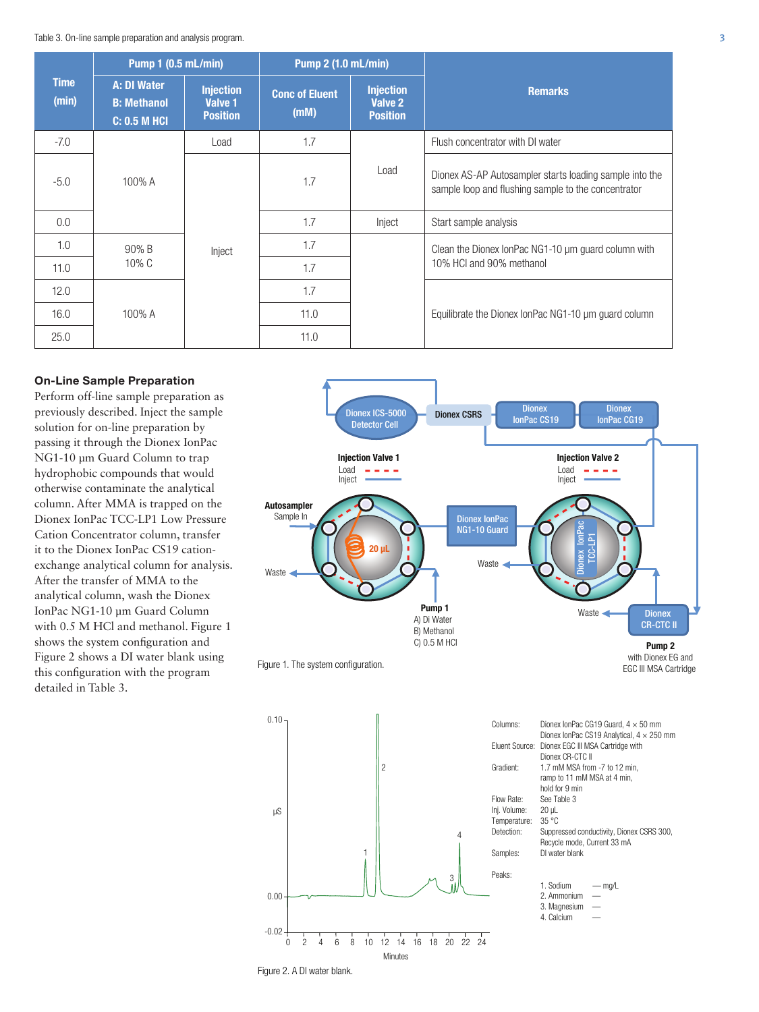|                      | <b>Pump 1 (0.5 mL/min)</b>                               |                                                | <b>Pump 2 (1.0 mL/min)</b>    |                                                |                                                                                                                |
|----------------------|----------------------------------------------------------|------------------------------------------------|-------------------------------|------------------------------------------------|----------------------------------------------------------------------------------------------------------------|
| <b>Time</b><br>(min) | A: DI Water<br><b>B: Methanol</b><br><b>C: 0.5 M HCI</b> | <b>Injection</b><br>Valve 1<br><b>Position</b> | <b>Conc of Eluent</b><br>(mM) | <b>Injection</b><br>Valve 2<br><b>Position</b> | <b>Remarks</b>                                                                                                 |
| $-7.0$               |                                                          | Load                                           | 1.7                           |                                                | Flush concentrator with DI water                                                                               |
| $-5.0$               | 100% A                                                   |                                                | 1.7                           | Load                                           | Dionex AS-AP Autosampler starts loading sample into the<br>sample loop and flushing sample to the concentrator |
| 0.0                  |                                                          |                                                | 1.7                           | Inject                                         | Start sample analysis                                                                                          |
| 1.0                  | 90% B                                                    | Inject                                         | 1.7                           |                                                | Clean the Dionex IonPac NG1-10 um quard column with                                                            |
| 11.0                 | 10% C                                                    |                                                | 1.7                           |                                                | 10% HCI and 90% methanol                                                                                       |
| 12.0                 |                                                          |                                                | 1.7                           |                                                |                                                                                                                |
| 16.0                 | $100\%$ A                                                |                                                | 11.0                          |                                                | Equilibrate the Dionex IonPac NG1-10 um quard column                                                           |
| 25.0                 |                                                          |                                                | 11.0                          |                                                |                                                                                                                |

## On-Line Sample Preparation

Perform off-line sample preparation as previously described. Inject the sample solution for on-line preparation by passing it through the Dionex IonPac NG1-10 µm Guard Column to trap hydrophobic compounds that would otherwise contaminate the analytical column. After MMA is trapped on the Dionex IonPac TCC-LP1 Low Pressure Cation Concentrator column, transfer it to the Dionex IonPac CS19 cationexchange analytical column for analysis. After the transfer of MMA to the analytical column, wash the Dionex IonPac NG1-10 µm Guard Column with 0.5 M HCl and methanol. Figure 1 shows the system configuration and Figure 2 shows a DI water blank using this configuration with the program detailed in Table 3.





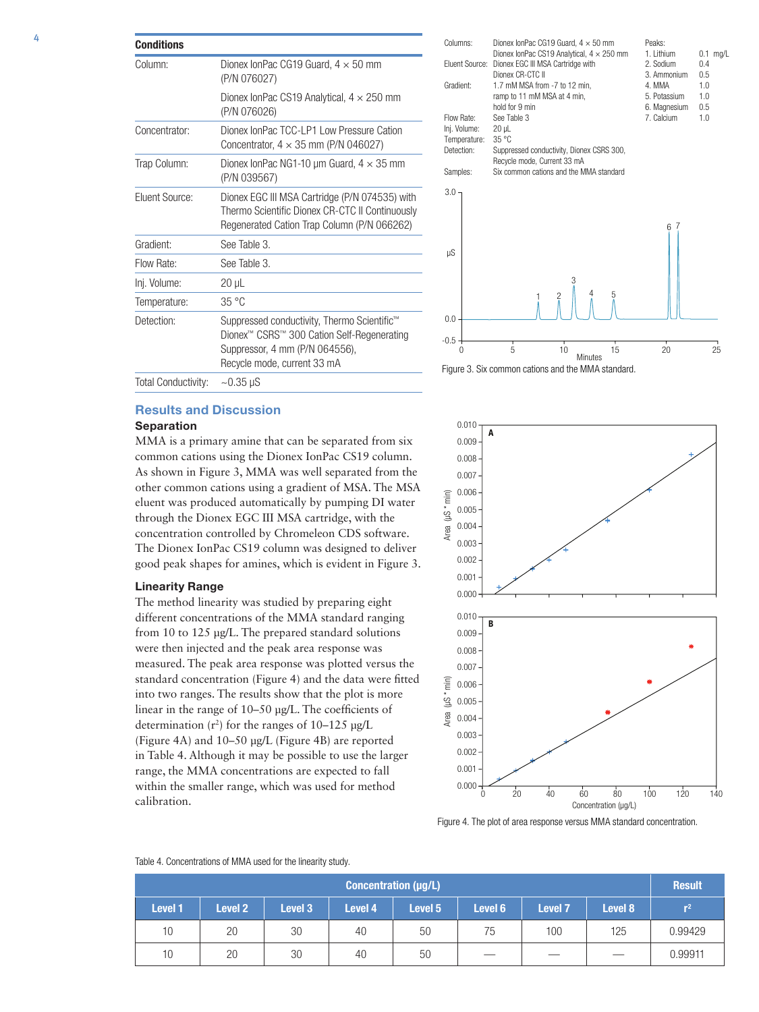| 4 | <b>Conditions</b>          |                                                                                                                                                                                    |  |  |  |
|---|----------------------------|------------------------------------------------------------------------------------------------------------------------------------------------------------------------------------|--|--|--|
|   | Column:                    | Dionex IonPac CG19 Guard, $4 \times 50$ mm<br>(P/N 076027)                                                                                                                         |  |  |  |
|   |                            | Dionex IonPac CS19 Analytical, $4 \times 250$ mm<br>(P/N 076026)                                                                                                                   |  |  |  |
|   | Concentrator:              | Dionex IonPac TCC-LP1 Low Pressure Cation<br>Concentrator, $4 \times 35$ mm (P/N 046027)                                                                                           |  |  |  |
|   | Trap Column:               | Dionex IonPac NG1-10 $\mu$ m Guard, 4 $\times$ 35 mm<br>(P/N 039567)                                                                                                               |  |  |  |
|   | Fluent Source:             | Dionex EGC III MSA Cartridge (P/N 074535) with<br>Thermo Scientific Dionex CR-CTC II Continuously<br>Regenerated Cation Trap Column (P/N 066262)                                   |  |  |  |
|   | Gradient:                  | See Table 3.                                                                                                                                                                       |  |  |  |
|   | Flow Rate:                 | See Table 3.                                                                                                                                                                       |  |  |  |
|   | Inj. Volume:               | 20 µL                                                                                                                                                                              |  |  |  |
|   | Temperature:               | 35 °C                                                                                                                                                                              |  |  |  |
|   | Detection:                 | Suppressed conductivity, Thermo Scientific <sup>™</sup><br>Dionex <sup>™</sup> CSRS™ 300 Cation Self-Regenerating<br>Suppressor, 4 mm (P/N 064556),<br>Recycle mode, current 33 mA |  |  |  |
|   | <b>Total Conductivity:</b> | $-0.35 \,\mathrm{\upmu S}$                                                                                                                                                         |  |  |  |

MMA is a primary amine that can be separated from six common cations using the Dionex IonPac CS19 column. As shown in Figure 3, MMA was well separated from the other common cations using a gradient of MSA. The MSA eluent was produced automatically by pumping DI water through the Dionex EGC III MSA cartridge, with the concentration controlled by Chromeleon CDS software. The Dionex IonPac CS19 column was designed to deliver good peak shapes for amines, which is evident in Figure 3.

The method linearity was studied by preparing eight different concentrations of the MMA standard ranging from 10 to 125 µg/L. The prepared standard solutions were then injected and the peak area response was measured. The peak area response was plotted versus the standard concentration (Figure 4) and the data were fitted into two ranges. The results show that the plot is more linear in the range of 10–50 µg/L. The coefficients of determination  $(r^2)$  for the ranges of 10–125  $\mu$ g/L (Figure 4A) and 10–50 µg/L (Figure 4B) are reported in Table 4. Although it may be possible to use the larger range, the MMA concentrations are expected to fall within the smaller range, which was used for method

Results and Discussion

Separation

Linearity Range

calibration.

| Columns:                                                 | Dionex IonPac CG19 Guard, $4 \times 50$ mm                                                                     | Peaks:                                 |                          |
|----------------------------------------------------------|----------------------------------------------------------------------------------------------------------------|----------------------------------------|--------------------------|
| Eluent Source:                                           | Dionex IonPac CS19 Analytical, $4 \times 250$ mm<br>Dionex EGC III MSA Cartridge with<br>Dionex CR-CTC II      | 1. Lithium<br>2. Sodium<br>3. Ammonium | $0.1$ mg/L<br>0.4<br>0.5 |
| Gradient:                                                | 1.7 mM MSA from -7 to 12 min,<br>ramp to 11 mM MSA at 4 min,<br>hold for 9 min                                 | 4. MMA<br>5. Potassium                 | 1.0<br>1.0<br>0.5        |
| Flow Rate:<br>Inj. Volume:<br>Temperature:<br>Detection: | See Table 3<br>$20 \mu L$<br>35 °C<br>Suppressed conductivity, Dionex CSRS 300,<br>Recycle mode, Current 33 mA | 6. Magnesium<br>7. Calcium             | 1.0                      |
| Samples:                                                 | Six common cations and the MMA standard                                                                        |                                        |                          |
| 3.0                                                      |                                                                                                                |                                        |                          |
| μS                                                       |                                                                                                                |                                        |                          |
| 0.0                                                      |                                                                                                                |                                        |                          |

0 5 10 15 20 25

Minutes

Figure 3. Six common cations and the MMA standard.

-0.5



Figure 4. The plot of area response versus MMA standard concentration.

| <b>Concentration (µg/L)</b> |                |         |                |         |         |                |         | <b>Result</b> |
|-----------------------------|----------------|---------|----------------|---------|---------|----------------|---------|---------------|
| <b>Level 1</b>              | <b>Level 2</b> | Level 3 | <b>Level 4</b> | Level 5 | Level 6 | <b>Level 7</b> | Level 8 | $r^2$         |
| 10 <sup>°</sup>             | 20             | 30      | 40             | 50      | 75      | 100            | 125     | 0.99429       |
| 10                          | 20             | 30      | 40             | 50      |         |                |         | 0.99911       |

| Table 4. Concentrations of MMA used for the linearity study. |  |  |
|--------------------------------------------------------------|--|--|
|--------------------------------------------------------------|--|--|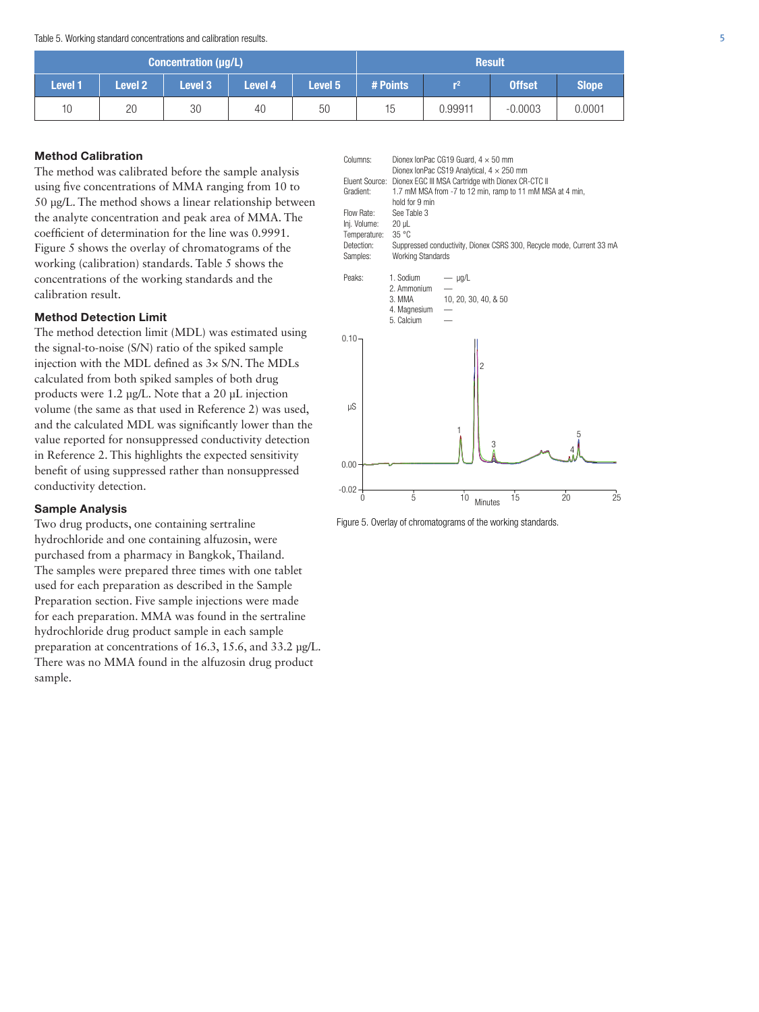| <b>Concentration (µg/L)</b> |                |         |         |         |          | <b>Result</b>  |               |              |
|-----------------------------|----------------|---------|---------|---------|----------|----------------|---------------|--------------|
| <b>Level 1</b>              | <b>Level 2</b> | Level 3 | Level 4 | Level 5 | # Points | r <sup>2</sup> | <b>Offset</b> | <b>Slope</b> |
| 10                          | 20             | 30      | 40      | 50      | 15       | 0.99911        | $-0.0003$     | 0.0001       |

## Method Calibration

The method was calibrated before the sample analysis using five concentrations of MMA ranging from 10 to 50 µg/L. The method shows a linear relationship between the analyte concentration and peak area of MMA. The coefficient of determination for the line was 0.9991. Figure 5 shows the overlay of chromatograms of the working (calibration) standards. Table 5 shows the concentrations of the working standards and the calibration result.

#### Method Detection Limit

The method detection limit (MDL) was estimated using the signal-to-noise (S/N) ratio of the spiked sample injection with the MDL defined as 3× S/N. The MDLs calculated from both spiked samples of both drug products were 1.2 µg/L. Note that a 20 µL injection volume (the same as that used in Reference 2) was used, and the calculated MDL was significantly lower than the value reported for nonsuppressed conductivity detection in Reference 2. This highlights the expected sensitivity benefit of using suppressed rather than nonsuppressed conductivity detection.

#### Sample Analysis

Two drug products, one containing sertraline hydrochloride and one containing alfuzosin, were purchased from a pharmacy in Bangkok, Thailand. The samples were prepared three times with one tablet used for each preparation as described in the Sample Preparation section. Five sample injections were made for each preparation. MMA was found in the sertraline hydrochloride drug product sample in each sample preparation at concentrations of 16.3, 15.6, and 33.2 µg/L. There was no MMA found in the alfuzosin drug product sample.

Columns: Dionex IonPac CG19 Guard,  $4 \times 50$  mm Dionex IonPac CS19 Analytical,  $4 \times 250$  mm Eluent Source: Dionex EGC III MSA Cartridge with Dionex CR-CTC II Gradient: 1.7 mM MSA from -7 to 12 min, ramp to 11 mM MSA at 4 min, hold for 9 min<br>Flow Rate: See Table 3 See Table 3<br>20 uL Ini. Volume: Temperature: 35 °C Detection: Suppressed conductivity, Dionex CSRS 300, Recycle mode, Current 33 mA Samples: Working Standards Peaks: 1. Sodium — ug/L 2. Ammonium<br>3. MMA 10, 20, 30, 40, & 50 4. Magnesium 5. Calcium 0 5 10 <sub>Minuto</sub> 15 20 25  $-0.02 -$ 0.00  $0.10 -$ 1 2 5  $\frac{3}{4}$   $\frac{4}{4}$ Minutes µS

Figure 5. Overlay of chromatograms of the working standards.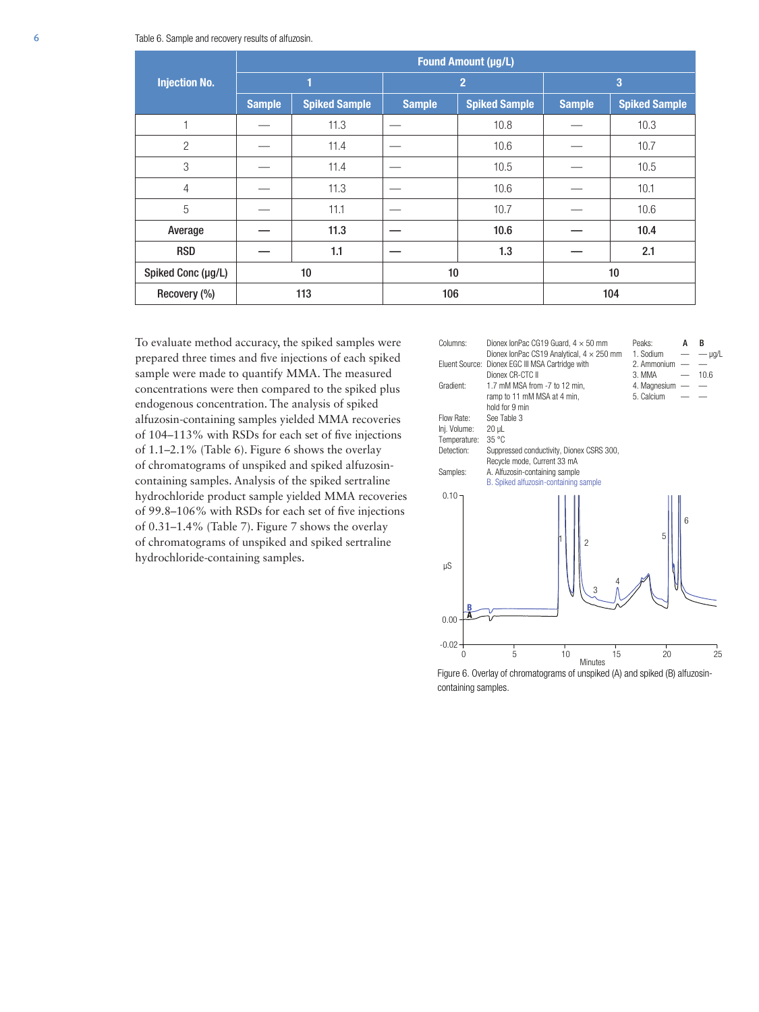|                      | <b>Found Amount (µg/L)</b> |                      |               |                      |               |                      |  |  |  |
|----------------------|----------------------------|----------------------|---------------|----------------------|---------------|----------------------|--|--|--|
| <b>Injection No.</b> | 1                          |                      |               | $\overline{2}$       | 3             |                      |  |  |  |
|                      | <b>Sample</b>              | <b>Spiked Sample</b> | <b>Sample</b> | <b>Spiked Sample</b> | <b>Sample</b> | <b>Spiked Sample</b> |  |  |  |
| ٠                    |                            | 11.3                 |               | 10.8                 |               | 10.3                 |  |  |  |
| $\overline{2}$       |                            | 11.4                 |               | 10.6                 |               | 10.7                 |  |  |  |
| 3                    |                            | 11.4                 |               | 10.5                 |               | 10.5                 |  |  |  |
| $\overline{4}$       |                            | 11.3                 |               | 10.6                 |               | 10.1                 |  |  |  |
| 5                    |                            | 11.1                 |               | 10.7                 |               | 10.6                 |  |  |  |
| Average              |                            | 11.3                 |               | 10.6                 |               | 10.4                 |  |  |  |
| <b>RSD</b>           |                            | 1.1                  |               | 1.3                  |               | 2.1                  |  |  |  |
| Spiked Conc (µg/L)   | 10                         |                      | 10            |                      | 10            |                      |  |  |  |
| Recovery (%)         |                            | 113                  | 106           |                      | 104           |                      |  |  |  |

To evaluate method accuracy, the spiked samples were prepared three times and five injections of each spiked sample were made to quantify MMA. The measured concentrations were then compared to the spiked plus endogenous concentration. The analysis of spiked alfuzosin-containing samples yielded MMA recoveries of 104–113% with RSDs for each set of five injections of 1.1–2.1% (Table 6). Figure 6 shows the overlay of chromatograms of unspiked and spiked alfuzosincontaining samples. Analysis of the spiked sertraline hydrochloride product sample yielded MMA recoveries of 99.8–106% with RSDs for each set of five injections of 0.31–1.4% (Table 7). Figure 7 shows the overlay of chromatograms of unspiked and spiked sertraline hydrochloride-containing samples.



Figure 6. Overlay of chromatograms of unspiked (A) and spiked (B) alfuzosincontaining samples.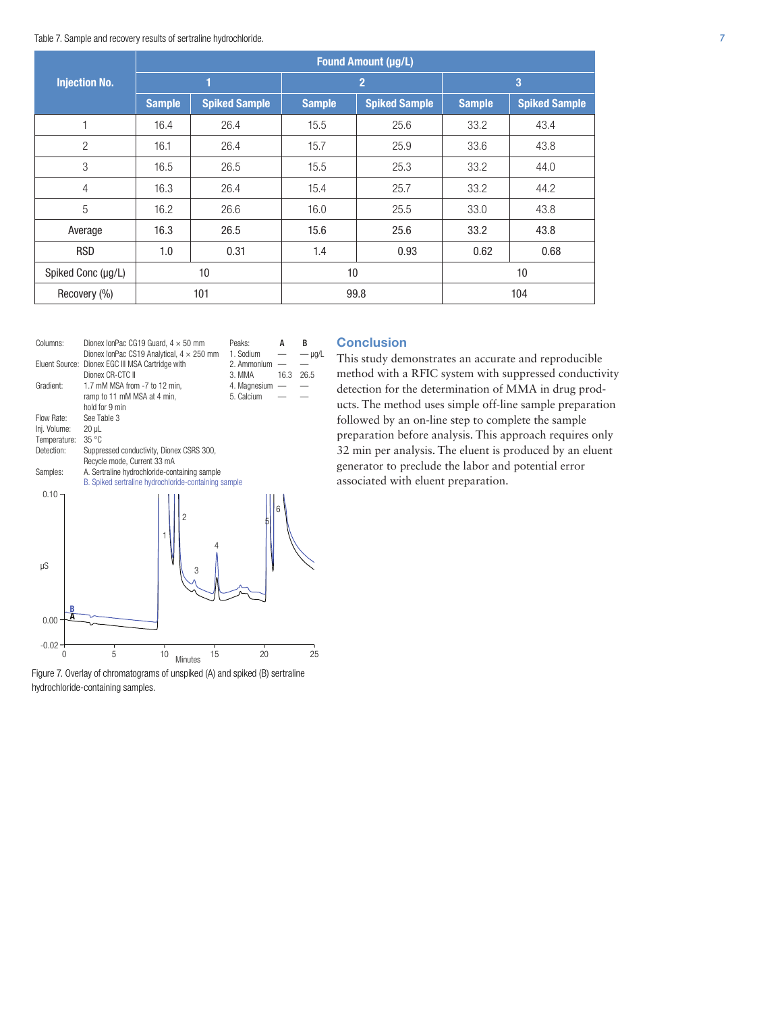|                      | <b>Found Amount (µg/L)</b> |                      |               |                      |               |                      |  |  |  |
|----------------------|----------------------------|----------------------|---------------|----------------------|---------------|----------------------|--|--|--|
| <b>Injection No.</b> | 1                          |                      |               | $\overline{2}$       | 3             |                      |  |  |  |
|                      | <b>Sample</b>              | <b>Spiked Sample</b> | <b>Sample</b> | <b>Spiked Sample</b> | <b>Sample</b> | <b>Spiked Sample</b> |  |  |  |
| н                    | 16.4                       | 26.4                 | 15.5          | 25.6                 | 33.2          | 43.4                 |  |  |  |
| $\overline{2}$       | 16.1                       | 26.4                 | 15.7          | 25.9                 | 33.6          | 43.8                 |  |  |  |
| 3                    | 16.5                       | 26.5                 | 15.5          | 25.3                 | 33.2          | 44.0                 |  |  |  |
| 4                    | 16.3                       | 26.4                 | 15.4          | 25.7                 | 33.2          | 44.2                 |  |  |  |
| 5                    | 16.2                       | 26.6                 | 16.0          | 25.5                 |               | 43.8                 |  |  |  |
| Average              | 16.3                       | 26.5                 | 15.6          | 25.6                 |               | 43.8                 |  |  |  |
| <b>RSD</b>           | 1.0                        | 0.31                 | 1.4           | 0.93                 | 0.62          | 0.68                 |  |  |  |
| Spiked Conc (µg/L)   | 10                         |                      | 10            |                      | 10            |                      |  |  |  |
| Recovery (%)         |                            | 101                  |               | 99.8                 |               | 104                  |  |  |  |



hydrochloride-containing samples.

#### **Conclusion**

This study demonstrates an accurate and reproducible method with a RFIC system with suppressed conductivity detection for the determination of MMA in drug products. The method uses simple off-line sample preparation followed by an on-line step to complete the sample preparation before analysis. This approach requires only 32 min per analysis. The eluent is produced by an eluent generator to preclude the labor and potential error associated with eluent preparation.

7